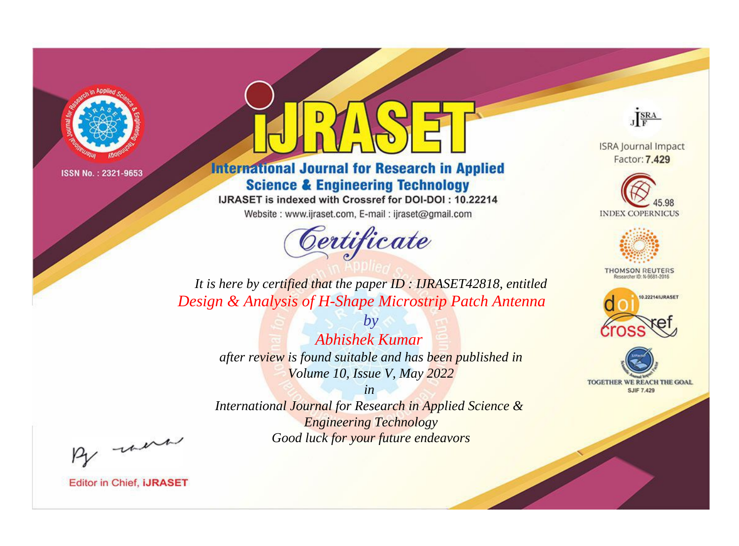

# **International Journal for Research in Applied Science & Engineering Technology**

IJRASET is indexed with Crossref for DOI-DOI: 10.22214

Website: www.ijraset.com, E-mail: ijraset@gmail.com



JERA

**ISRA Journal Impact** Factor: 7.429





**THOMSON REUTERS** 



TOGETHER WE REACH THE GOAL **SJIF 7.429** 

*It is here by certified that the paper ID : IJRASET42818, entitled Design & Analysis of H-Shape Microstrip Patch Antenna*

> *by Abhishek Kumar after review is found suitable and has been published in Volume 10, Issue V, May 2022*

> > *in*

*International Journal for Research in Applied Science & Engineering Technology Good luck for your future endeavors*

By morn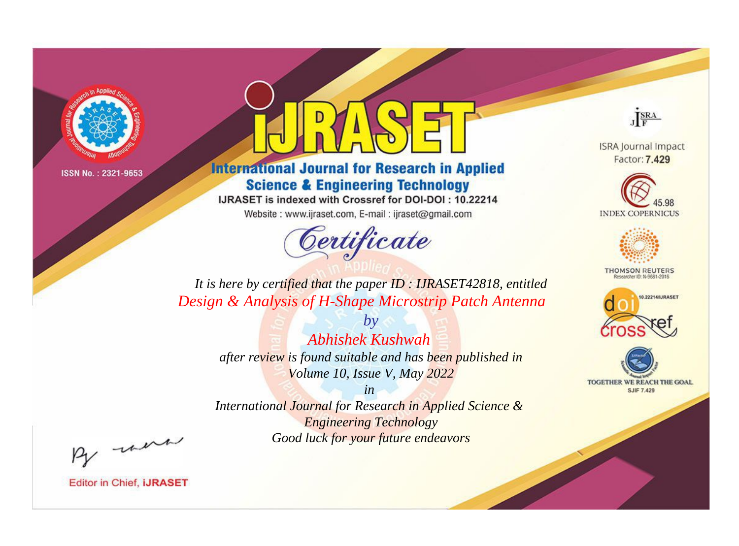

# **International Journal for Research in Applied Science & Engineering Technology**

IJRASET is indexed with Crossref for DOI-DOI: 10.22214

Website: www.ijraset.com, E-mail: ijraset@gmail.com



JERA

**ISRA Journal Impact** Factor: 7.429





**THOMSON REUTERS** 



TOGETHER WE REACH THE GOAL **SJIF 7.429** 

It is here by certified that the paper ID: IJRASET42818, entitled Design & Analysis of H-Shape Microstrip Patch Antenna

> $b\nu$ Abhishek Kushwah after review is found suitable and has been published in Volume 10, Issue V, May 2022

 $in$ International Journal for Research in Applied Science & **Engineering Technology** Good luck for your future endeavors

By morn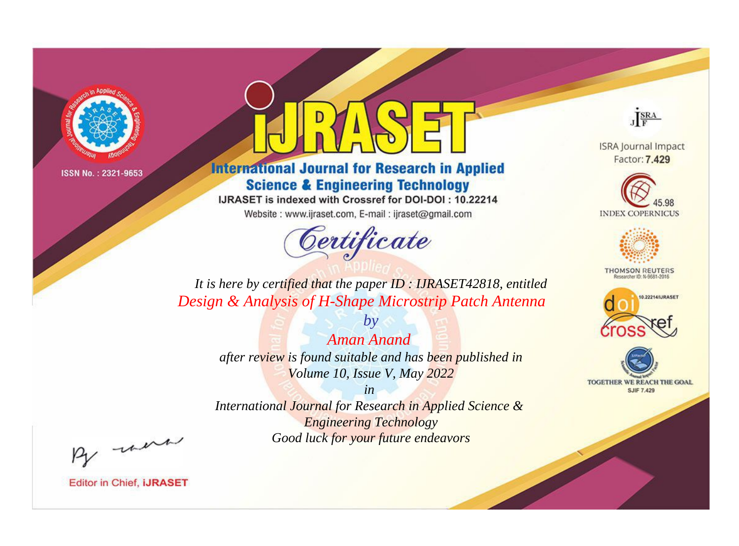

# **International Journal for Research in Applied Science & Engineering Technology**

IJRASET is indexed with Crossref for DOI-DOI: 10.22214

Website: www.ijraset.com, E-mail: ijraset@gmail.com



JERA

**ISRA Journal Impact** Factor: 7.429





**THOMSON REUTERS** 



TOGETHER WE REACH THE GOAL **SJIF 7.429** 

*It is here by certified that the paper ID : IJRASET42818, entitled Design & Analysis of H-Shape Microstrip Patch Antenna*

> *by Aman Anand after review is found suitable and has been published in Volume 10, Issue V, May 2022*

> > *in*

*International Journal for Research in Applied Science & Engineering Technology Good luck for your future endeavors*

By morn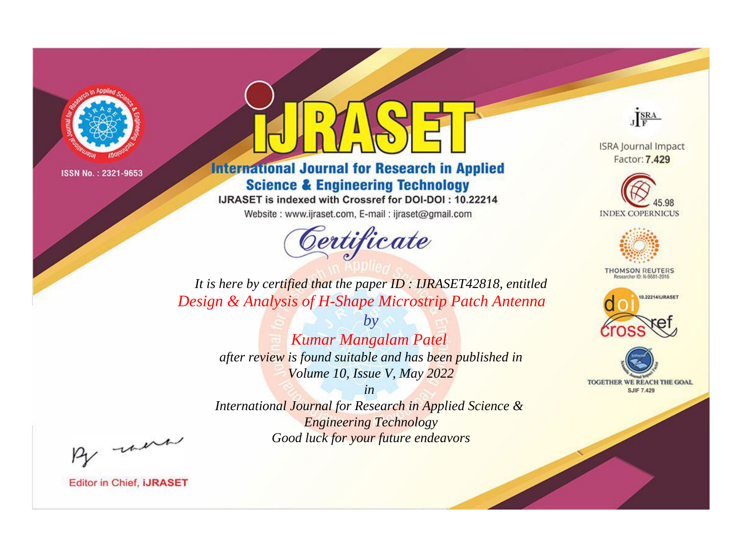

# **International Journal for Research in Applied Science & Engineering Technology**

IJRASET is indexed with Crossref for DOI-DOI: 10.22214

Website: www.ijraset.com, E-mail: ijraset@gmail.com



JERA

**ISRA Journal Impact** Factor: 7.429





**THOMSON REUTERS** 



TOGETHER WE REACH THE GOAL **SJIF 7.429** 

*It is here by certified that the paper ID : IJRASET42818, entitled Design & Analysis of H-Shape Microstrip Patch Antenna*

> *by Kumar Mangalam Patel after review is found suitable and has been published in Volume 10, Issue V, May 2022*

> > *in*

*International Journal for Research in Applied Science & Engineering Technology Good luck for your future endeavors*

By morn